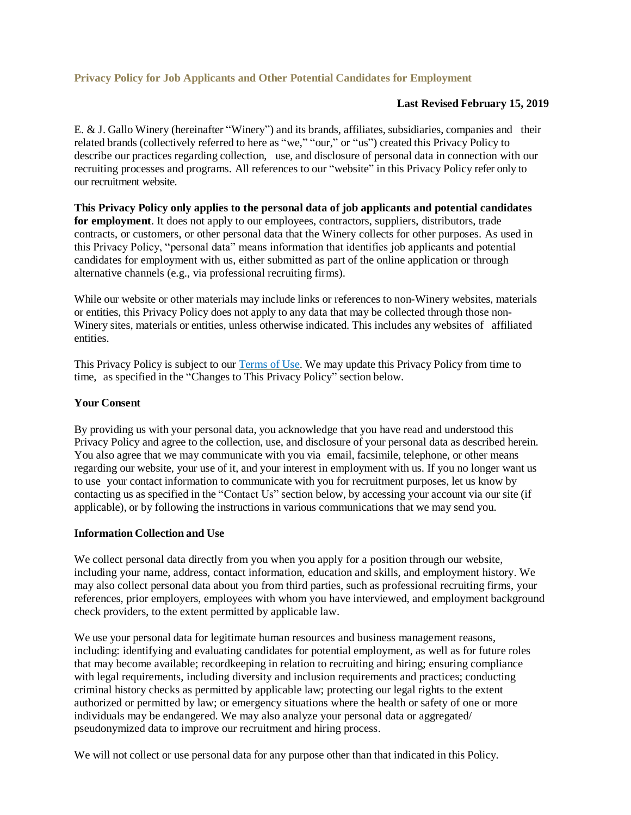## **Last Revised February 15, 2019**

E. & J. Gallo Winery (hereinafter "Winery") and its brands, affiliates, subsidiaries, companies and their related brands (collectively referred to here as "we," "our," or "us") created this Privacy Policy to describe our practices regarding collection, use, and disclosure of personal data in connection with our recruiting processes and programs. All references to our "website" in this Privacy Policy refer only to our recruitment website.

**This Privacy Policy only applies to the personal data of job applicants and potential candidates for employment**. It does not apply to our employees, contractors, suppliers, distributors, trade contracts, or customers, or other personal data that the Winery collects for other purposes. As used in this Privacy Policy, "personal data" means information that identifies job applicants and potential candidates for employment with us, either submitted as part of the online application or through alternative channels (e.g., via professional recruiting firms).

While our website or other materials may include links or references to non-Winery websites, materials or entities, this Privacy Policy does not apply to any data that may be collected through those non-Winery sites, materials or entities, unless otherwise indicated. This includes any websites of affiliated entities.

This Privacy Policy is subject to our [Terms](http://www.gallo.com/legal/use-agreement) of Use. We may update this Privacy Policy from time to time, as specified in the "Changes to This Privacy Policy" section below.

#### **Your Consent**

By providing us with your personal data, you acknowledge that you have read and understood this Privacy Policy and agree to the collection, use, and disclosure of your personal data as described herein. You also agree that we may communicate with you via email, facsimile, telephone, or other means regarding our website, your use of it, and your interest in employment with us. If you no longer want us to use your contact information to communicate with you for recruitment purposes, let us know by contacting us as specified in the "Contact Us" section below, by accessing your account via our site (if applicable), or by following the instructions in various communications that we may send you.

### **Information Collection and Use**

We collect personal data directly from you when you apply for a position through our website, including your name, address, contact information, education and skills, and employment history. We may also collect personal data about you from third parties, such as professional recruiting firms, your references, prior employers, employees with whom you have interviewed, and employment background check providers, to the extent permitted by applicable law.

We use your personal data for legitimate human resources and business management reasons, including: identifying and evaluating candidates for potential employment, as well as for future roles that may become available; recordkeeping in relation to recruiting and hiring; ensuring compliance with legal requirements, including diversity and inclusion requirements and practices; conducting criminal history checks as permitted by applicable law; protecting our legal rights to the extent authorized or permitted by law; or emergency situations where the health or safety of one or more individuals may be endangered. We may also analyze your personal data or aggregated/ pseudonymized data to improve our recruitment and hiring process.

We will not collect or use personal data for any purpose other than that indicated in this Policy.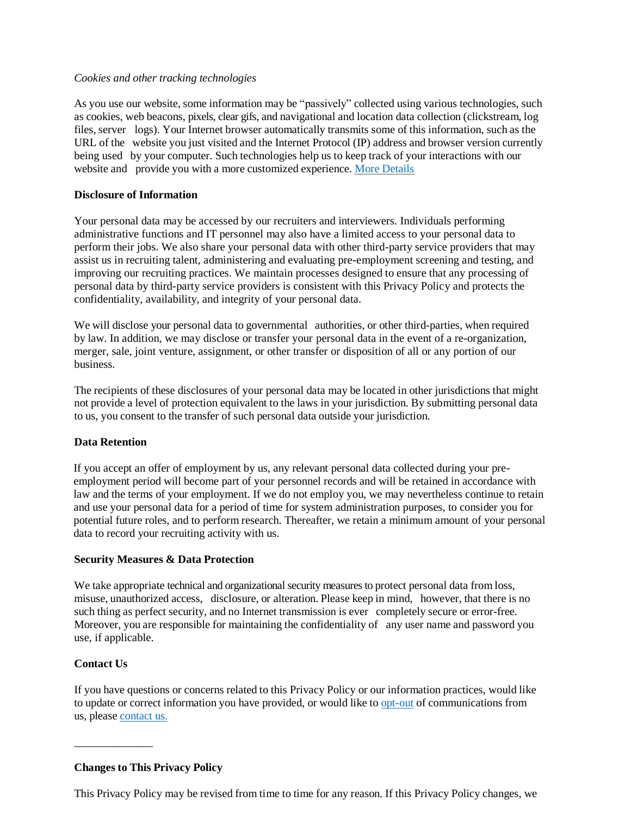## *Cookies and other tracking technologies*

As you use our website, some information may be "passively" collected using various technologies, such as cookies, web beacons, pixels, clear gifs, and navigational and location data collection (clickstream, log files, server logs). Your Internet browser automatically transmits some of this information, such as the URL of the website you just visited and the Internet Protocol (IP) address and browser version currently being used by your computer. Such technologies help us to keep track of your interactions with our website and provide you with a more customized experience. More [Details](http://www.gallo.com/legal/privacy)

## **Disclosure of Information**

Your personal data may be accessed by our recruiters and interviewers. Individuals performing administrative functions and IT personnel may also have a limited access to your personal data to perform their jobs. We also share your personal data with other third-party service providers that may assist us in recruiting talent, administering and evaluating pre-employment screening and testing, and improving our recruiting practices. We maintain processes designed to ensure that any processing of personal data by third-party service providers is consistent with this Privacy Policy and protects the confidentiality, availability, and integrity of your personal data.

We will disclose your personal data to governmental authorities, or other third-parties, when required by law. In addition, we may disclose or transfer your personal data in the event of a re-organization, merger, sale, joint venture, assignment, or other transfer or disposition of all or any portion of our business.

The recipients of these disclosures of your personal data may be located in other jurisdictions that might not provide a level of protection equivalent to the laws in your jurisdiction. By submitting personal data to us, you consent to the transfer of such personal data outside your jurisdiction.

# **Data Retention**

If you accept an offer of employment by us, any relevant personal data collected during your preemployment period will become part of your personnel records and will be retained in accordance with law and the terms of your employment. If we do not employ you, we may nevertheless continue to retain and use your personal data for a period of time for system administration purposes, to consider you for potential future roles, and to perform research. Thereafter, we retain a minimum amount of your personal data to record your recruiting activity with us.

#### **Security Measures & Data Protection**

We take appropriate technical and organizational security measures to protect personal data from loss, misuse, unauthorized access, disclosure, or alteration. Please keep in mind, however, that there is no such thing as perfect security, and no Internet transmission is ever completely secure or error-free. Moreover, you are responsible for maintaining the confidentiality of any user name and password you use, if applicable.

## **Contact Us**

\_\_\_\_\_\_\_\_\_\_\_\_\_\_

If you have questions or concerns related to this Privacy Policy or our information practices, would like to update or correct information you have provided, or would like to [opt-out](http://www.gallo.com/legal/unsubscribe) of communications from us, please [contact](http://www.gallo.com/contact) us.

# **Changes to This Privacy Policy**

This Privacy Policy may be revised from time to time for any reason. If this Privacy Policy changes, we